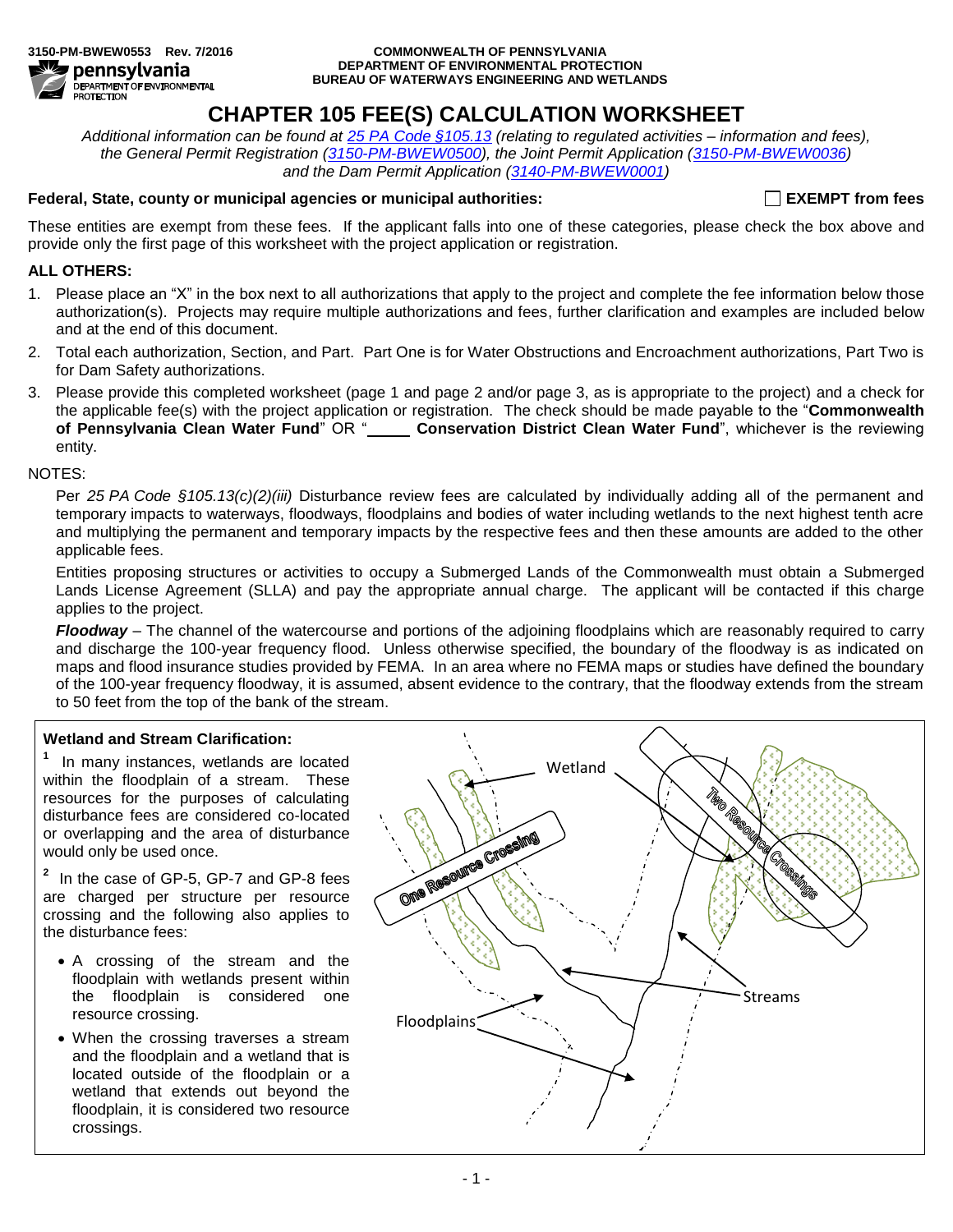

#### **3150-PM-BWEW0553 Rev. 7/2016 COMMONWEALTH OF PENNSYLVANIA DEPARTMENT OF ENVIRONMENTAL PROTECTION BUREAU OF WATERWAYS ENGINEERING AND WETLANDS**

# **CHAPTER 105 FEE(S) CALCULATION WORKSHEET**

*Additional information can be found at 25 PA [Code §105.13](http://www.pacode.com/secure/data/025/chapter105/s105.13.html) (relating to regulated activities – information and fees), the General Permit Registration [\(3150-PM-BWEW0500\)](http://www.elibrary.dep.state.pa.us/dsweb/View/Collection-11232), the Joint Permit Application [\(3150-PM-BWEW0036\)](http://www.elibrary.dep.state.pa.us/dsweb/View/Collection-9531) and the Dam Permit Application [\(3140-PM-BWEW0001\)](http://www.elibrary.dep.state.pa.us/dsweb/View/Collection-9435)*

## **Federal, State, county or municipal agencies or municipal authorities: EXEMPT from fees**

These entities are exempt from these fees. If the applicant falls into one of these categories, please check the box above and provide only the first page of this worksheet with the project application or registration.

## **ALL OTHERS:**

- 1. Please place an "X" in the box next to all authorizations that apply to the project and complete the fee information below those authorization(s). Projects may require multiple authorizations and fees, further clarification and examples are included below and at the end of this document.
- 2. Total each authorization, Section, and Part. Part One is for Water Obstructions and Encroachment authorizations, Part Two is for Dam Safety authorizations.
- 3. Please provide this completed worksheet (page 1 and page 2 and/or page 3, as is appropriate to the project) and a check for the applicable fee(s) with the project application or registration. The check should be made payable to the "**Commonwealth of Pennsylvania Clean Water Fund**" OR " **Conservation District Clean Water Fund**", whichever is the reviewing entity.

### NOTES:

Per *25 PA Code §105.13(c)(2)(iii)* Disturbance review fees are calculated by individually adding all of the permanent and temporary impacts to waterways, floodways, floodplains and bodies of water including wetlands to the next highest tenth acre and multiplying the permanent and temporary impacts by the respective fees and then these amounts are added to the other applicable fees.

Entities proposing structures or activities to occupy a Submerged Lands of the Commonwealth must obtain a Submerged Lands License Agreement (SLLA) and pay the appropriate annual charge. The applicant will be contacted if this charge applies to the project.

*Floodway* – The channel of the watercourse and portions of the adjoining floodplains which are reasonably required to carry and discharge the 100-year frequency flood. Unless otherwise specified, the boundary of the floodway is as indicated on maps and flood insurance studies provided by FEMA. In an area where no FEMA maps or studies have defined the boundary of the 100-year frequency floodway, it is assumed, absent evidence to the contrary, that the floodway extends from the stream to 50 feet from the top of the bank of the stream.

## **Wetland and Stream Clarification:**

**1** In many instances, wetlands are located within the floodplain of a stream. These resources for the purposes of calculating disturbance fees are considered co-located or overlapping and the area of disturbance would only be used once.

**2** In the case of GP-5, GP-7 and GP-8 fees are charged per structure per resource crossing and the following also applies to the disturbance fees:

- A crossing of the stream and the floodplain with wetlands present within the floodplain is considered one resource crossing.
- When the crossing traverses a stream and the floodplain and a wetland that is located outside of the floodplain or a wetland that extends out beyond the floodplain, it is considered two resource crossings.

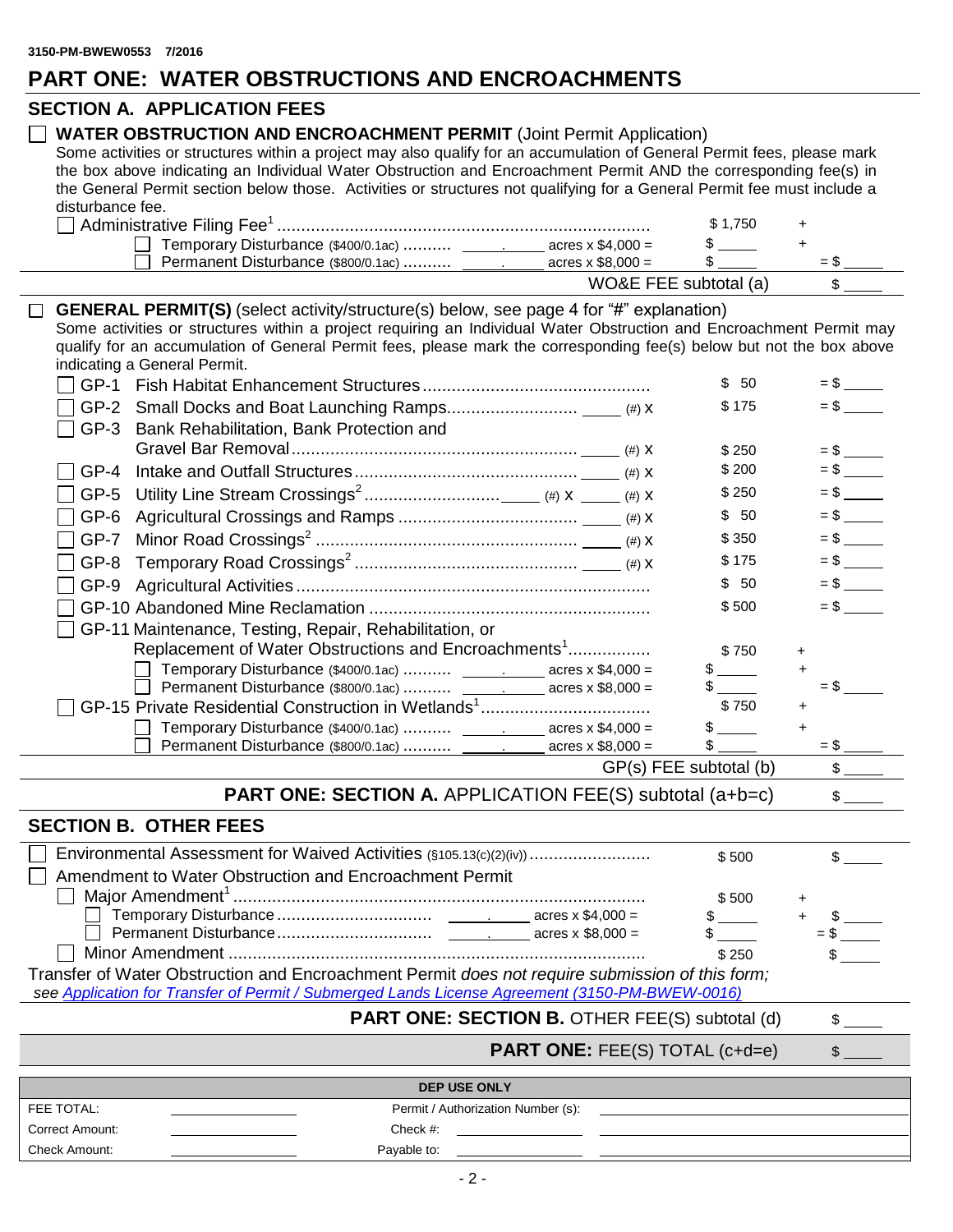# **PART ONE: WATER OBSTRUCTIONS AND ENCROACHMENTS**

## **SECTION A. APPLICATION FEES**

## **WATER OBSTRUCTION AND ENCROACHMENT PERMIT** (Joint Permit Application)

Some activities or structures within a project may also qualify for an accumulation of General Permit fees, please mark the box above indicating an Individual Water Obstruction and Encroachment Permit AND the corresponding fee(s) in the General Permit section below those. Activities or structures not qualifying for a General Permit fee must include a disturbance fee.

|                                     |                          | \$1.750               |  |
|-------------------------------------|--------------------------|-----------------------|--|
| Temporary Disturbance (\$400/0.1ac) | acres x $$4.000 =$       |                       |  |
| Permanent Disturbance (\$800/0.1ac) | acres $\times$ \$8.000 = |                       |  |
|                                     |                          | WO&E FEE subtotal (a) |  |

**GENERAL PERMIT(S)** (select activity/structure(s) below, see page 4 for "#" explanation)

Some activities or structures within a project requiring an Individual Water Obstruction and Encroachment Permit may qualify for an accumulation of General Permit fees, please mark the corresponding fee(s) below but not the box above indicating a General Permit.

| \$175<br>$=$ \$<br>$GP-2$<br>$GP-3$<br>Bank Rehabilitation, Bank Protection and<br>\$250<br>\$200<br>$GP-4$<br>\$250<br>$GP-5$<br>\$50<br>GP-6<br>\$350<br>$GP-7$<br>\$175<br>$GP-8$<br>\$50<br>$GP-9$<br>$=$ \$<br>\$500<br>GP-11 Maintenance, Testing, Repair, Rehabilitation, or<br>Replacement of Water Obstructions and Encroachments <sup>1</sup><br>\$750<br>$+$<br>Temporary Disturbance (\$400/0.1ac)  ______________ acres x \$4,000 =<br>S and the set of the set of the set of the set of the set of the set of the set of the set of the set of the set of the set of the set of the set of the set of the set of the set of the set of the set of the set of the set<br>$\ddot{}$<br>Permanent Disturbance (\$800/0.1ac)  _______________ acres x \$8,000 =<br>$=$ S<br>\$750<br>$\ddot{}$<br>Temporary Disturbance (\$400/0.1ac)  _______________ acres x \$4,000 =<br>$\ddot{}$<br>Permanent Disturbance (\$800/0.1ac)  _______________ acres x \$8,000 =<br>$=$ \$ | $GP-1$ | \$<br>50 | $=$ \$ |
|-------------------------------------------------------------------------------------------------------------------------------------------------------------------------------------------------------------------------------------------------------------------------------------------------------------------------------------------------------------------------------------------------------------------------------------------------------------------------------------------------------------------------------------------------------------------------------------------------------------------------------------------------------------------------------------------------------------------------------------------------------------------------------------------------------------------------------------------------------------------------------------------------------------------------------------------------------------------------------------|--------|----------|--------|
|                                                                                                                                                                                                                                                                                                                                                                                                                                                                                                                                                                                                                                                                                                                                                                                                                                                                                                                                                                                     |        |          |        |
|                                                                                                                                                                                                                                                                                                                                                                                                                                                                                                                                                                                                                                                                                                                                                                                                                                                                                                                                                                                     |        |          |        |
|                                                                                                                                                                                                                                                                                                                                                                                                                                                                                                                                                                                                                                                                                                                                                                                                                                                                                                                                                                                     |        |          |        |
|                                                                                                                                                                                                                                                                                                                                                                                                                                                                                                                                                                                                                                                                                                                                                                                                                                                                                                                                                                                     |        |          |        |
|                                                                                                                                                                                                                                                                                                                                                                                                                                                                                                                                                                                                                                                                                                                                                                                                                                                                                                                                                                                     |        |          |        |
|                                                                                                                                                                                                                                                                                                                                                                                                                                                                                                                                                                                                                                                                                                                                                                                                                                                                                                                                                                                     |        |          |        |
|                                                                                                                                                                                                                                                                                                                                                                                                                                                                                                                                                                                                                                                                                                                                                                                                                                                                                                                                                                                     |        |          |        |
|                                                                                                                                                                                                                                                                                                                                                                                                                                                                                                                                                                                                                                                                                                                                                                                                                                                                                                                                                                                     |        |          |        |
|                                                                                                                                                                                                                                                                                                                                                                                                                                                                                                                                                                                                                                                                                                                                                                                                                                                                                                                                                                                     |        |          |        |
|                                                                                                                                                                                                                                                                                                                                                                                                                                                                                                                                                                                                                                                                                                                                                                                                                                                                                                                                                                                     |        |          |        |
|                                                                                                                                                                                                                                                                                                                                                                                                                                                                                                                                                                                                                                                                                                                                                                                                                                                                                                                                                                                     |        |          |        |
|                                                                                                                                                                                                                                                                                                                                                                                                                                                                                                                                                                                                                                                                                                                                                                                                                                                                                                                                                                                     |        |          |        |
|                                                                                                                                                                                                                                                                                                                                                                                                                                                                                                                                                                                                                                                                                                                                                                                                                                                                                                                                                                                     |        |          |        |
|                                                                                                                                                                                                                                                                                                                                                                                                                                                                                                                                                                                                                                                                                                                                                                                                                                                                                                                                                                                     |        |          |        |
|                                                                                                                                                                                                                                                                                                                                                                                                                                                                                                                                                                                                                                                                                                                                                                                                                                                                                                                                                                                     |        |          |        |
|                                                                                                                                                                                                                                                                                                                                                                                                                                                                                                                                                                                                                                                                                                                                                                                                                                                                                                                                                                                     |        |          |        |
|                                                                                                                                                                                                                                                                                                                                                                                                                                                                                                                                                                                                                                                                                                                                                                                                                                                                                                                                                                                     |        |          |        |
| GP(s) FEE subtotal (b)                                                                                                                                                                                                                                                                                                                                                                                                                                                                                                                                                                                                                                                                                                                                                                                                                                                                                                                                                              |        |          |        |

**PART ONE: SECTION A.** APPLICATION FEE(S) subtotal (a+b=c)  $\qquad$  \$

## **SECTION B. OTHER FEES**

| □ Environmental Assessment for Waived Activities (§105.13(c)(2)(iv))                            | \$500 |  |
|-------------------------------------------------------------------------------------------------|-------|--|
| □ Amendment to Water Obstruction and Encroachment Permit                                        |       |  |
|                                                                                                 | \$500 |  |
|                                                                                                 |       |  |
|                                                                                                 |       |  |
|                                                                                                 | \$250 |  |
| Transfer of Water Obstruction and Encroachment Permit does not require submission of this form; |       |  |
| see Application for Transfer of Permit / Submerged Lands License Agreement (3150-PM-BWEW-0016)  |       |  |

## **PART ONE: SECTION B. OTHER FEE(S) subtotal (d)**  $\qquad$  **\$**

**PART ONE:** FEE(S) TOTAL (c+d=e)  $\qquad$ 

## **DEP USE ONLY** FEE TOTAL: **Permit / Authorization Number (s):** Permit / Authorization Number (s): Correct Amount: Check #: Check Amount: Payable to: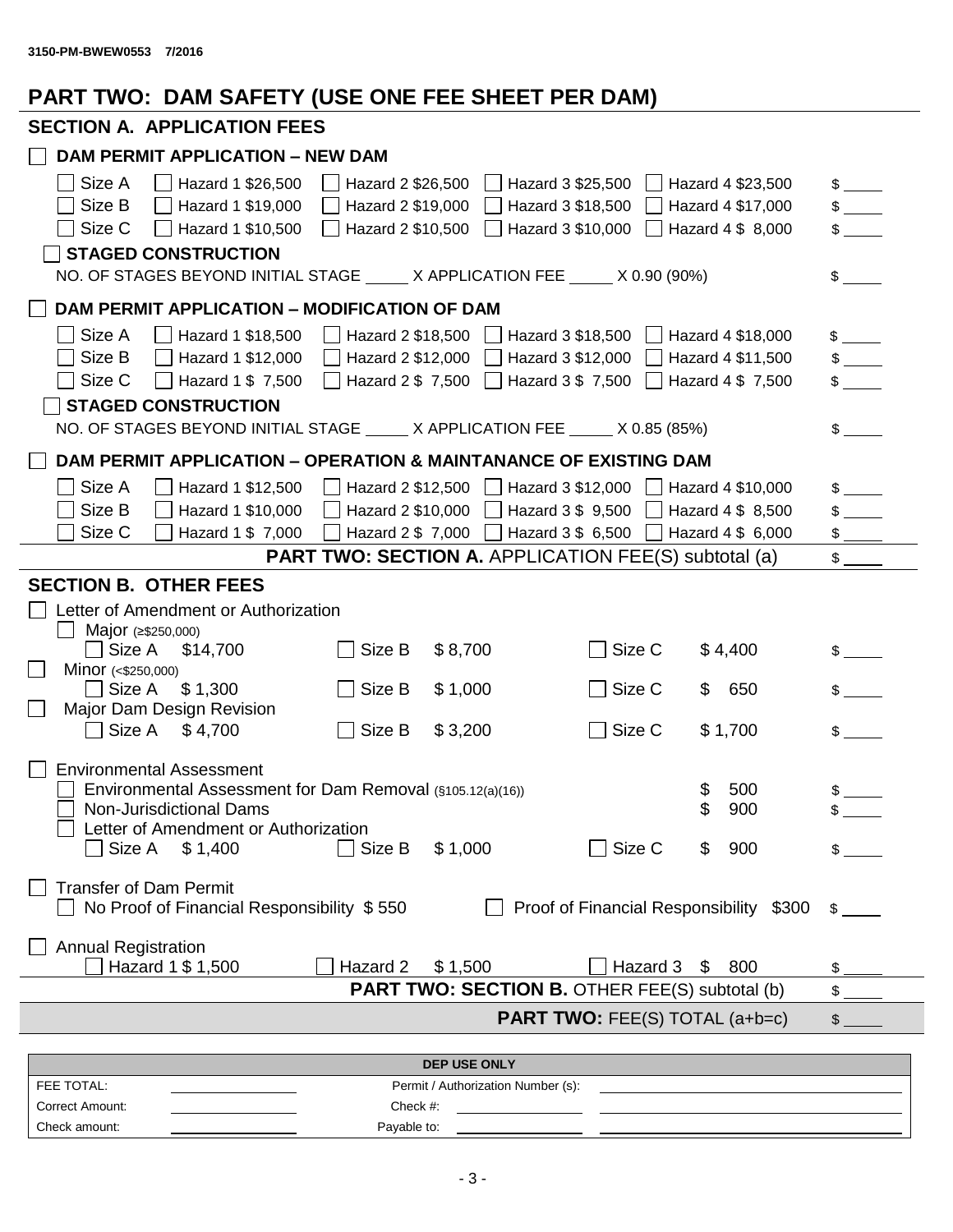# **PART TWO: DAM SAFETY (USE ONE FEE SHEET PER DAM)**

# **SECTION A. APPLICATION FEES**

| <b>DAM PERMIT APPLICATION - NEW DAM</b>                                                                             |                               |
|---------------------------------------------------------------------------------------------------------------------|-------------------------------|
| Size A<br>Hazard 1 \$26,500<br>Hazard 2 \$26,500<br>Hazard 3 \$25,500<br>Hazard 4 \$23,500                          | $\mathbb{S}$                  |
| Size B<br>Hazard 1 \$19,000<br>Hazard 2 \$19,000<br>Hazard 3 \$18,500<br>Hazard 4 \$17,000                          | $\mathbb{S}$ and $\mathbb{S}$ |
| Size C<br>Hazard 1 \$10,500<br>Hazard 2 \$10,500<br>Hazard 3 \$10,000<br>Hazard 4 \$ 8,000                          | \$                            |
| <b>STAGED CONSTRUCTION</b>                                                                                          |                               |
| NO. OF STAGES BEYOND INITIAL STAGE _____ X APPLICATION FEE _____ X 0.90 (90%)                                       | \$                            |
| DAM PERMIT APPLICATION - MODIFICATION OF DAM                                                                        |                               |
| Size A<br>Hazard 1 \$18,500<br>Hazard 2 \$18,500<br>Hazard 3 \$18,500<br>Hazard 4 \$18,000<br>$\mathbf{1}$          | $\frac{1}{2}$                 |
| Size B<br>Hazard 1 \$12,000<br>Hazard 2 \$12,000<br>Hazard 3 \$12,000<br>Hazard 4 \$11,500                          |                               |
| Size C<br>Hazard 1 \$ 7,500<br>Hazard 2 $$7,500$   Hazard 3 $$7,500$<br>$\Box$ Hazard 4 \$7,500                     | $\frac{1}{2}$                 |
| <b>STAGED CONSTRUCTION</b>                                                                                          |                               |
| NO. OF STAGES BEYOND INITIAL STAGE _____ X APPLICATION FEE _____ X 0.85 (85%)                                       | \$                            |
| DAM PERMIT APPLICATION - OPERATION & MAINTANANCE OF EXISTING DAM                                                    |                               |
| Size A<br>Hazard 2 \$12,500<br>$\Box$ Hazard 3 \$12,000<br>Hazard 1 \$12,500<br>$\Box$ Hazard 4 \$10,000            |                               |
| Size B<br>Hazard 1 \$10,000<br>Hazard 2 \$10,000<br>Hazard 3 \$ 9,500<br>Hazard 4 \$ 8,500                          |                               |
| Size C<br>Hazard 1 \$ 7,000<br>Hazard 2 \$ 7,000<br>Hazard 3 \$ 6,500<br>Hazard 4 \$ 6,000                          |                               |
| <b>PART TWO: SECTION A. APPLICATION FEE(S) subtotal (a)</b>                                                         | \$                            |
| <b>SECTION B. OTHER FEES</b>                                                                                        |                               |
| Letter of Amendment or Authorization                                                                                |                               |
| Major (≥\$250,000)                                                                                                  |                               |
| Size C<br>$\Box$ Size A<br>Size B<br>\$8,700<br>\$4,400<br>\$14,700                                                 |                               |
| Minor $(*$250,000)$                                                                                                 |                               |
| Size B<br>\$1,000<br>Size C<br>650<br>_l Size A<br>\$1,300<br>\$                                                    |                               |
| Major Dam Design Revision<br>Size A<br>Size B<br>\$3,200<br>Size C<br>\$1,700<br>\$4,700                            | \$                            |
|                                                                                                                     |                               |
| <b>Environmental Assessment</b>                                                                                     |                               |
| 500<br>Environmental Assessment for Dam Removal (§105.12(a)(16))<br>\$                                              |                               |
| 900<br>Non-Jurisdictional Dams                                                                                      |                               |
| Letter of Amendment or Authorization<br>$\Box$ Size B<br>$\Box$ Size C<br>□ Size A \$ 1,400<br>\$1,000<br>900<br>\$ |                               |
|                                                                                                                     |                               |
| <b>Transfer of Dam Permit</b>                                                                                       |                               |
| No Proof of Financial Responsibility \$550<br>Proof of Financial Responsibility \$300                               | $\mathbb{S}$                  |
|                                                                                                                     |                               |
| <b>Annual Registration</b><br>Hazard 1 \$ 1,500<br>\$1,500<br>Hazard 3<br>Hazard 2<br>\$<br>800                     |                               |
| <b>PART TWO: SECTION B. OTHER FEE(S) subtotal (b)</b>                                                               | \$                            |
| <b>PART TWO: FEE(S) TOTAL (a+b=c)</b>                                                                               | \$                            |
|                                                                                                                     |                               |
| <b>DEP USE ONLY</b>                                                                                                 |                               |
| FEE TOTAL:<br>Permit / Authorization Number (s):                                                                    |                               |
| Correct Amount:<br>Check #:                                                                                         |                               |

Check amount: Payable to: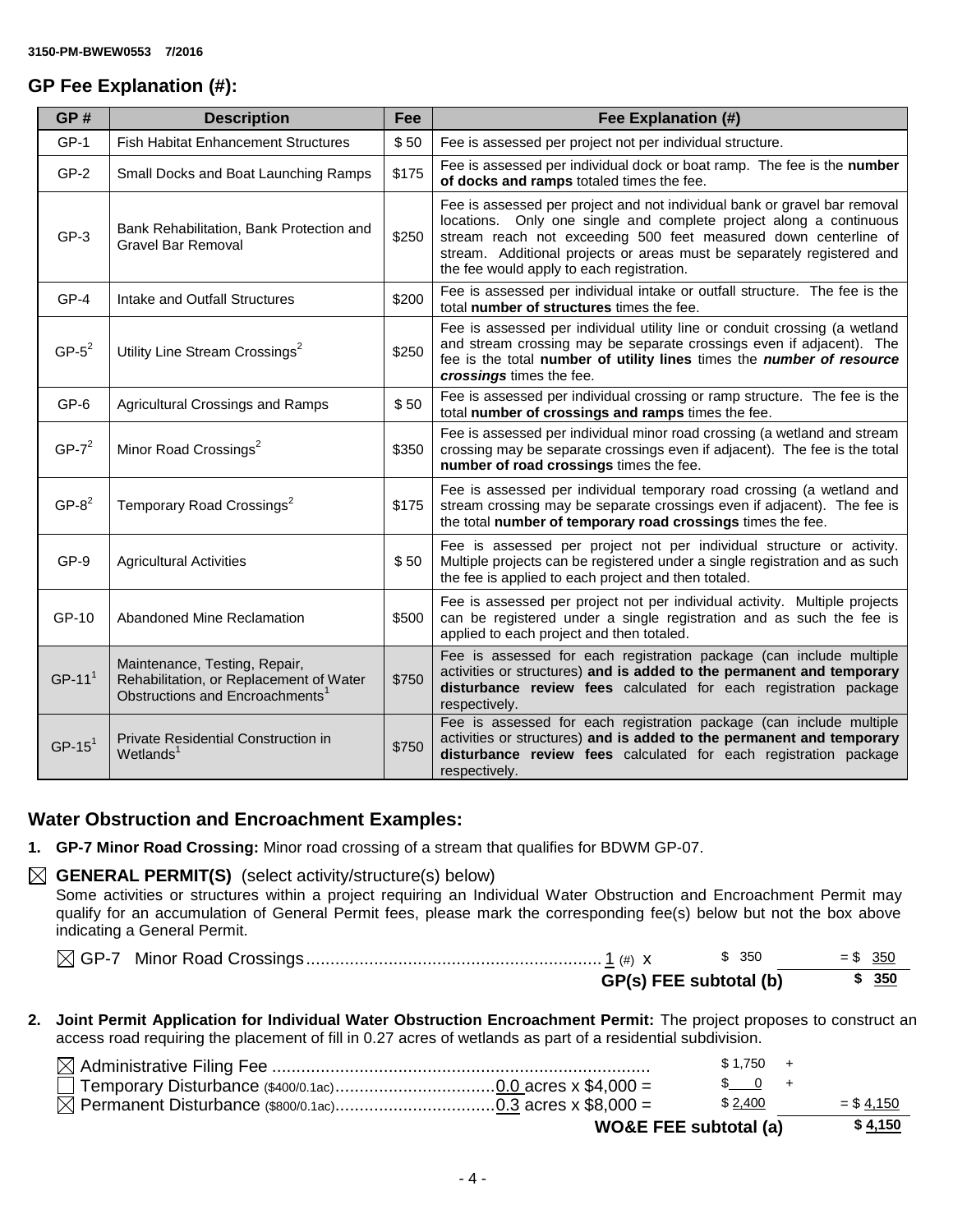## **GP Fee Explanation (#):**

| GP#      | <b>Description</b>                                                                                                      | Fee   | Fee Explanation (#)                                                                                                                                                                                                                                                                                                                       |
|----------|-------------------------------------------------------------------------------------------------------------------------|-------|-------------------------------------------------------------------------------------------------------------------------------------------------------------------------------------------------------------------------------------------------------------------------------------------------------------------------------------------|
| $GP-1$   | <b>Fish Habitat Enhancement Structures</b>                                                                              | \$50  | Fee is assessed per project not per individual structure.                                                                                                                                                                                                                                                                                 |
| $GP-2$   | Small Docks and Boat Launching Ramps                                                                                    | \$175 | Fee is assessed per individual dock or boat ramp. The fee is the number<br>of docks and ramps totaled times the fee.                                                                                                                                                                                                                      |
| $GP-3$   | Bank Rehabilitation, Bank Protection and<br>Gravel Bar Removal                                                          | \$250 | Fee is assessed per project and not individual bank or gravel bar removal<br>locations. Only one single and complete project along a continuous<br>stream reach not exceeding 500 feet measured down centerline of<br>stream. Additional projects or areas must be separately registered and<br>the fee would apply to each registration. |
| GP-4     | Intake and Outfall Structures                                                                                           | \$200 | Fee is assessed per individual intake or outfall structure. The fee is the<br>total number of structures times the fee.                                                                                                                                                                                                                   |
| $GP-5^2$ | Utility Line Stream Crossings <sup>2</sup>                                                                              | \$250 | Fee is assessed per individual utility line or conduit crossing (a wetland<br>and stream crossing may be separate crossings even if adjacent). The<br>fee is the total number of utility lines times the number of resource<br>crossings times the fee.                                                                                   |
| GP-6     | <b>Agricultural Crossings and Ramps</b>                                                                                 | \$50  | Fee is assessed per individual crossing or ramp structure. The fee is the<br>total number of crossings and ramps times the fee.                                                                                                                                                                                                           |
| $GP-7^2$ | Minor Road Crossings <sup>2</sup>                                                                                       | \$350 | Fee is assessed per individual minor road crossing (a wetland and stream<br>crossing may be separate crossings even if adjacent). The fee is the total<br>number of road crossings times the fee.                                                                                                                                         |
| $GP-82$  | Temporary Road Crossings <sup>2</sup>                                                                                   | \$175 | Fee is assessed per individual temporary road crossing (a wetland and<br>stream crossing may be separate crossings even if adjacent). The fee is<br>the total number of temporary road crossings times the fee.                                                                                                                           |
| GP-9     | <b>Agricultural Activities</b>                                                                                          | \$50  | Fee is assessed per project not per individual structure or activity.<br>Multiple projects can be registered under a single registration and as such<br>the fee is applied to each project and then totaled.                                                                                                                              |
| GP-10    | Abandoned Mine Reclamation                                                                                              | \$500 | Fee is assessed per project not per individual activity. Multiple projects<br>can be registered under a single registration and as such the fee is<br>applied to each project and then totaled.                                                                                                                                           |
| $GP-111$ | Maintenance, Testing, Repair,<br>Rehabilitation, or Replacement of Water<br>Obstructions and Encroachments <sup>1</sup> | \$750 | Fee is assessed for each registration package (can include multiple<br>activities or structures) and is added to the permanent and temporary<br>disturbance review fees calculated for each registration package<br>respectively.                                                                                                         |
| $GP-151$ | Private Residential Construction in<br>Wetlands <sup>1</sup>                                                            | \$750 | Fee is assessed for each registration package (can include multiple<br>activities or structures) and is added to the permanent and temporary<br>disturbance review fees calculated for each registration package<br>respectively.                                                                                                         |

## **Water Obstruction and Encroachment Examples:**

**1. GP-7 Minor Road Crossing:** Minor road crossing of a stream that qualifies for BDWM GP-07.

## $\boxtimes$  **GENERAL PERMIT(S)** (select activity/structure(s) below)

Some activities or structures within a project requiring an Individual Water Obstruction and Encroachment Permit may qualify for an accumulation of General Permit fees, please mark the corresponding fee(s) below but not the box above indicating a General Permit.

|  |  | \$350                  | $= $ 350$ |       |
|--|--|------------------------|-----------|-------|
|  |  | GP(s) FEE subtotal (b) |           | \$350 |

**2. Joint Permit Application for Individual Water Obstruction Encroachment Permit:** The project proposes to construct an access road requiring the placement of fill in 0.27 acres of wetlands as part of a residential subdivision.

|                                  | $$1.750 +$        |              |
|----------------------------------|-------------------|--------------|
|                                  | $\frac{1}{2}$ 0 + |              |
|                                  | \$ 2,400          | $=$ \$ 4,150 |
| <b>WO&amp;E FEE subtotal (a)</b> |                   | \$4,150      |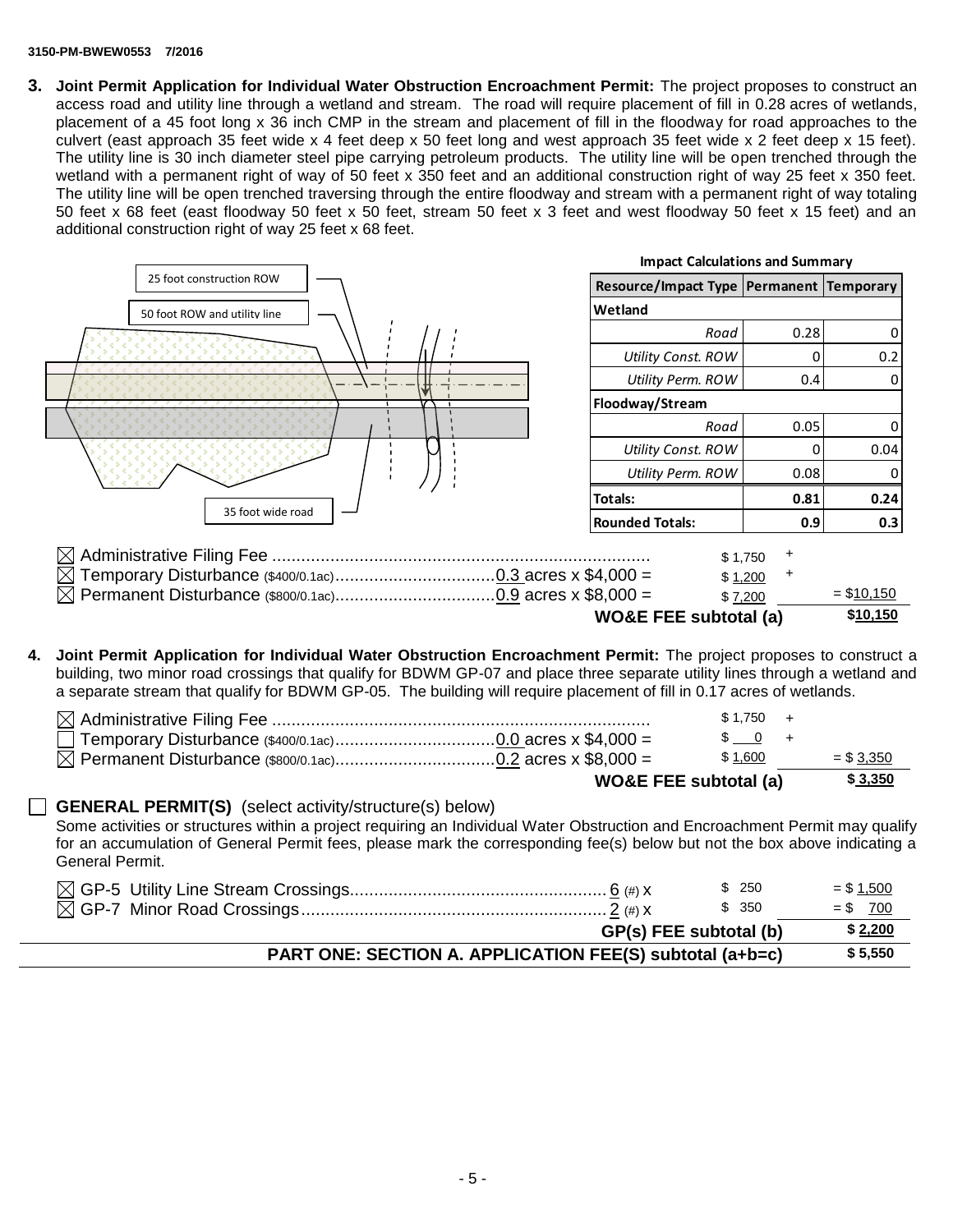#### **3150-PM-BWEW0553 7/2016**

**3. Joint Permit Application for Individual Water Obstruction Encroachment Permit:** The project proposes to construct an access road and utility line through a wetland and stream. The road will require placement of fill in 0.28 acres of wetlands, placement of a 45 foot long x 36 inch CMP in the stream and placement of fill in the floodway for road approaches to the culvert (east approach 35 feet wide x 4 feet deep x 50 feet long and west approach 35 feet wide x 2 feet deep x 15 feet). The utility line is 30 inch diameter steel pipe carrying petroleum products. The utility line will be open trenched through the wetland with a permanent right of way of 50 feet x 350 feet and an additional construction right of way 25 feet x 350 feet. The utility line will be open trenched traversing through the entire floodway and stream with a permanent right of way totaling 50 feet x 68 feet (east floodway 50 feet x 50 feet, stream 50 feet x 3 feet and west floodway 50 feet x 15 feet) and an additional construction right of way 25 feet x 68 feet.

|                              | <b>Impact Calculations and Summary</b>       |                    |                |
|------------------------------|----------------------------------------------|--------------------|----------------|
| 25 foot construction ROW     | Resource/Impact Type   Permanent   Temporary |                    |                |
| 50 foot ROW and utility line | Wetland                                      |                    |                |
|                              | Road                                         | 0.28               | $\overline{0}$ |
|                              | <b>Utility Const. ROW</b>                    |                    | 0.2            |
|                              | Utility Perm. ROW                            | 0.4                | $\Omega$       |
|                              | Floodway/Stream                              |                    |                |
|                              | Road                                         | 0.05               | $\overline{0}$ |
|                              | <b>Utility Const. ROW</b>                    |                    | 0.04           |
|                              | Utility Perm. ROW                            | 0.08               | 0              |
|                              | Totals:                                      | 0.81               | 0.24           |
| 35 foot wide road            | Rounded Totals:                              | 0.9                | 0.3            |
| M                            |                                              | \$1,750<br>\$1,200 |                |
|                              |                                              | \$7,200            | $=$ \$10,150   |
|                              | <b>WO&amp;E FEE subtotal (a)</b>             |                    | \$10,150       |

**4. Joint Permit Application for Individual Water Obstruction Encroachment Permit:** The project proposes to construct a building, two minor road crossings that qualify for BDWM GP-07 and place three separate utility lines through a wetland and a separate stream that qualify for BDWM GP-05. The building will require placement of fill in 0.17 acres of wetlands.

|                                  | \$1.750                                            |              |
|----------------------------------|----------------------------------------------------|--------------|
|                                  | $\begin{array}{cccc} \text{S} & 0 & + \end{array}$ |              |
|                                  | \$1,600                                            | $=$ \$ 3,350 |
| <b>WO&amp;E FEE subtotal (a)</b> |                                                    | \$3,350      |

#### **GENERAL PERMIT(S)** (select activity/structure(s) below)

Some activities or structures within a project requiring an Individual Water Obstruction and Encroachment Permit may qualify for an accumulation of General Permit fees, please mark the corresponding fee(s) below but not the box above indicating a General Permit.

| \$ 250 | $= $1,500$                                                                         |
|--------|------------------------------------------------------------------------------------|
| \$ 350 | $= $ 700$                                                                          |
|        | \$2,200                                                                            |
|        | \$5,550                                                                            |
|        | GP(s) FEE subtotal (b)<br>PART ONE: SECTION A. APPLICATION FEE(S) subtotal (a+b=c) |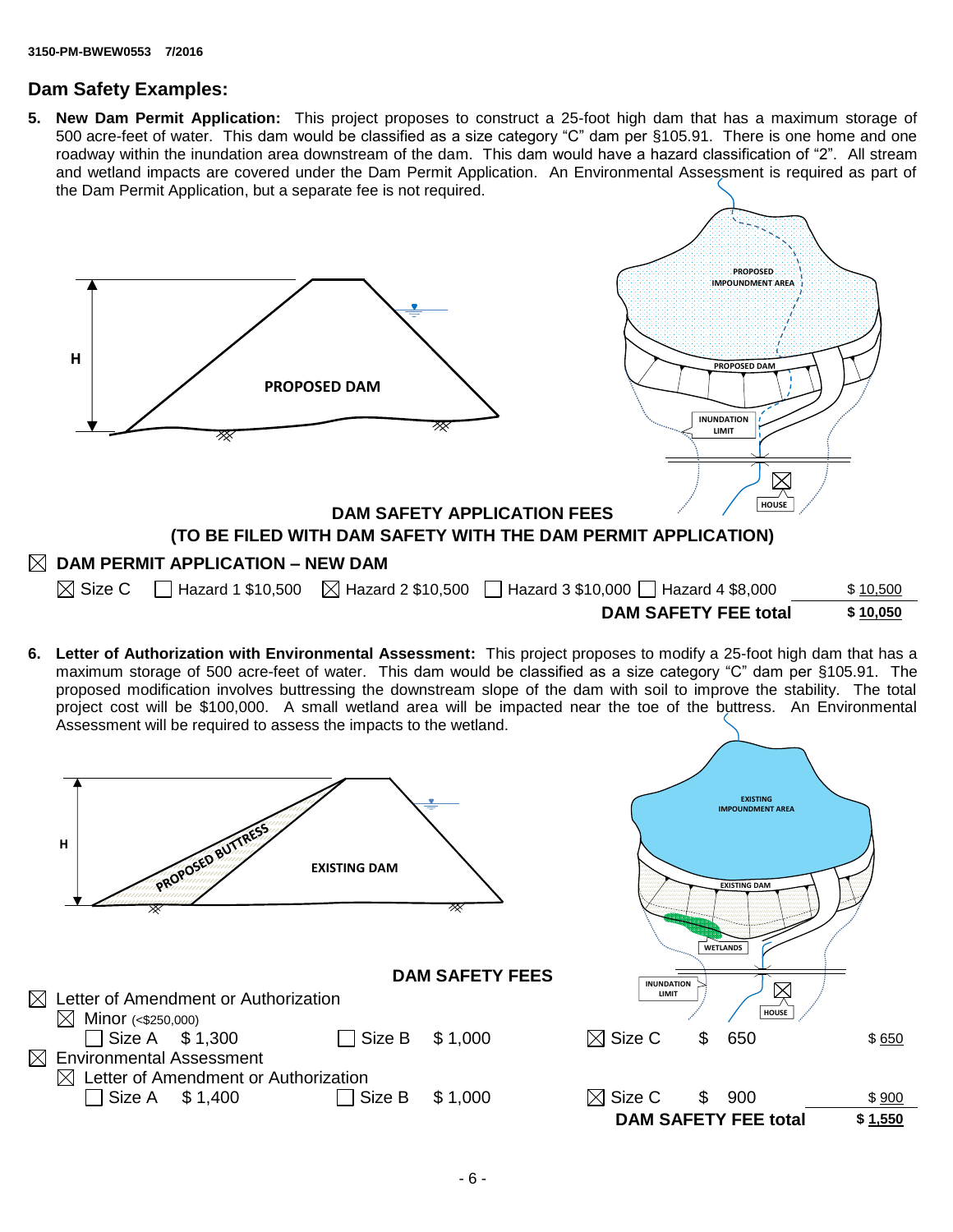## **Dam Safety Examples:**

**5. New Dam Permit Application:** This project proposes to construct a 25-foot high dam that has a maximum storage of 500 acre-feet of water. This dam would be classified as a size category "C" dam per §105.91. There is one home and one roadway within the inundation area downstream of the dam. This dam would have a hazard classification of "2". All stream and wetland impacts are covered under the Dam Permit Application. An Environmental Assessment is required as part of the Dam Permit Application, but a separate fee is not required.



**6. Letter of Authorization with Environmental Assessment:** This project proposes to modify a 25-foot high dam that has a maximum storage of 500 acre-feet of water. This dam would be classified as a size category "C" dam per §105.91. The proposed modification involves buttressing the downstream slope of the dam with soil to improve the stability. The total project cost will be \$100,000. A small wetland area will be impacted near the toe of the buttress. An Environmental Assessment will be required to assess the impacts to the wetland.

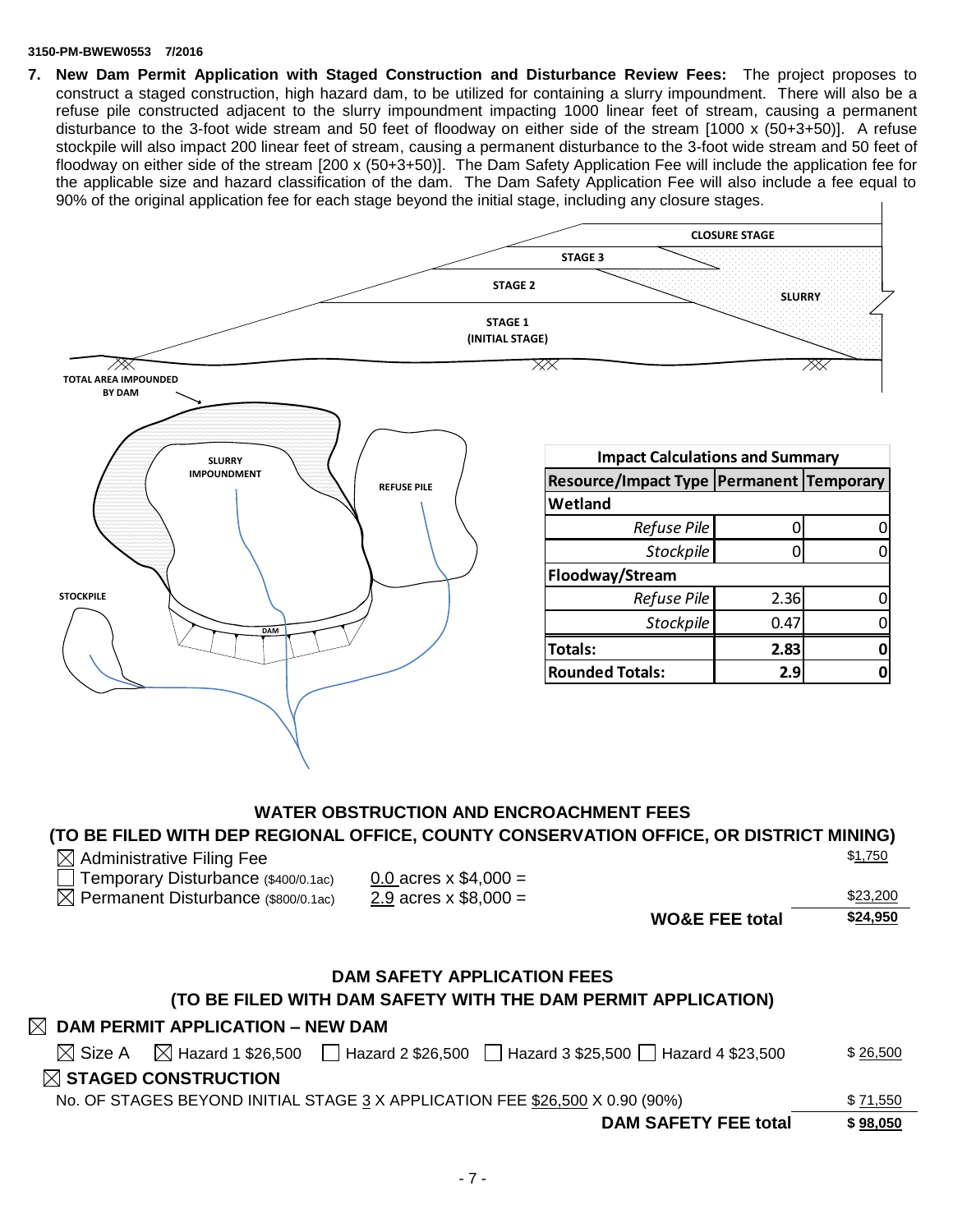#### **3150-PM-BWEW0553 7/2016**

**7. New Dam Permit Application with Staged Construction and Disturbance Review Fees:** The project proposes to construct a staged construction, high hazard dam, to be utilized for containing a slurry impoundment. There will also be a refuse pile constructed adjacent to the slurry impoundment impacting 1000 linear feet of stream, causing a permanent disturbance to the 3-foot wide stream and 50 feet of floodway on either side of the stream [1000 x (50+3+50)]. A refuse stockpile will also impact 200 linear feet of stream, causing a permanent disturbance to the 3-foot wide stream and 50 feet of floodway on either side of the stream [200 x (50+3+50)]. The Dam Safety Application Fee will include the application fee for the applicable size and hazard classification of the dam. The Dam Safety Application Fee will also include a fee equal to 90% of the original application fee for each stage beyond the initial stage, including any closure stages.



## **WATER OBSTRUCTION AND ENCROACHMENT FEES**

### **(TO BE FILED WITH DEP REGIONAL OFFICE, COUNTY CONSERVATION OFFICE, OR DISTRICT MINING)**

| $\boxtimes$ Administrative Filing Fee | \$ <u>1,750</u> |
|---------------------------------------|-----------------|
|---------------------------------------|-----------------|

| Temporary Disturbance (\$400/0.1ac) | 0.0 acres $\times$ \$4,000 = |
|-------------------------------------|------------------------------|
| – ∼                                 | -----                        |

| 0.0 acres $\times$ \$4,000 = |  |
|------------------------------|--|
| 2.9 acres $x $8,000 =$       |  |

| Permanent Disturbance (\$800/0.1ac) | 2.9 acres x $$8,000 =$ |                  | \$23,200 |
|-------------------------------------|------------------------|------------------|----------|
|                                     |                        | $MORE$ EEE total | \$24,950 |

**WO&E FEE total \$24,950**

## **DAM SAFETY APPLICATION FEES**

## **(TO BE FILED WITH DAM SAFETY WITH THE DAM PERMIT APPLICATION)**

## **DAM PERMIT APPLICATION – NEW DAM**

| <b>DAM SAFETY FEE total</b>                                                                                             | \$98,050 |
|-------------------------------------------------------------------------------------------------------------------------|----------|
| No. OF STAGES BEYOND INITIAL STAGE 3 X APPLICATION FEE \$26,500 X 0.90 (90%)                                            | \$71,550 |
| $\boxtimes$ STAGED CONSTRUCTION                                                                                         |          |
| Hazard 2 \$26,500 $\Box$ Hazard 3 \$25,500 $\Box$ Hazard 4 \$23,500<br>$\boxtimes$ Size A $\boxtimes$ Hazard 1 \$26,500 | \$26,500 |